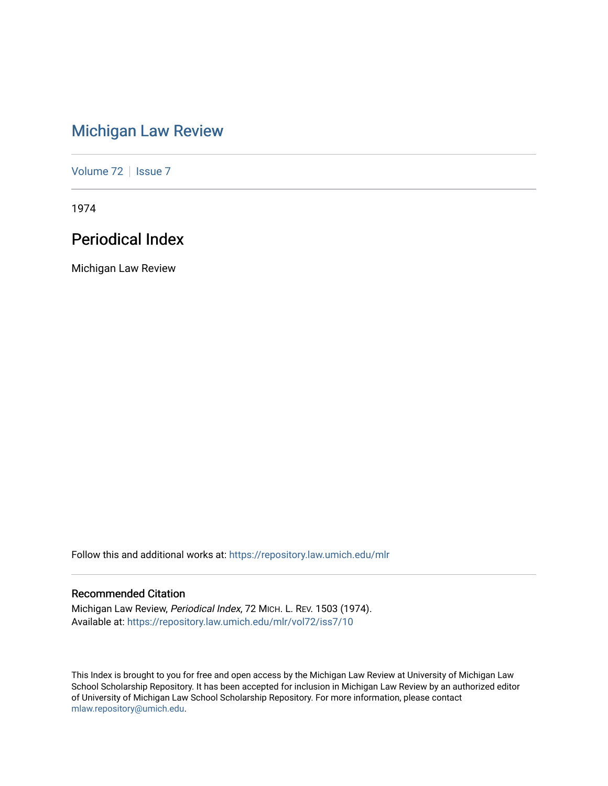# [Michigan Law Review](https://repository.law.umich.edu/mlr)

[Volume 72](https://repository.law.umich.edu/mlr/vol72) | [Issue 7](https://repository.law.umich.edu/mlr/vol72/iss7)

1974

# Periodical Index

Michigan Law Review

Follow this and additional works at: [https://repository.law.umich.edu/mlr](https://repository.law.umich.edu/mlr?utm_source=repository.law.umich.edu%2Fmlr%2Fvol72%2Fiss7%2F10&utm_medium=PDF&utm_campaign=PDFCoverPages) 

# Recommended Citation

Michigan Law Review, Periodical Index, 72 MICH. L. REV. 1503 (1974). Available at: [https://repository.law.umich.edu/mlr/vol72/iss7/10](https://repository.law.umich.edu/mlr/vol72/iss7/10?utm_source=repository.law.umich.edu%2Fmlr%2Fvol72%2Fiss7%2F10&utm_medium=PDF&utm_campaign=PDFCoverPages) 

This Index is brought to you for free and open access by the Michigan Law Review at University of Michigan Law School Scholarship Repository. It has been accepted for inclusion in Michigan Law Review by an authorized editor of University of Michigan Law School Scholarship Repository. For more information, please contact [mlaw.repository@umich.edu.](mailto:mlaw.repository@umich.edu)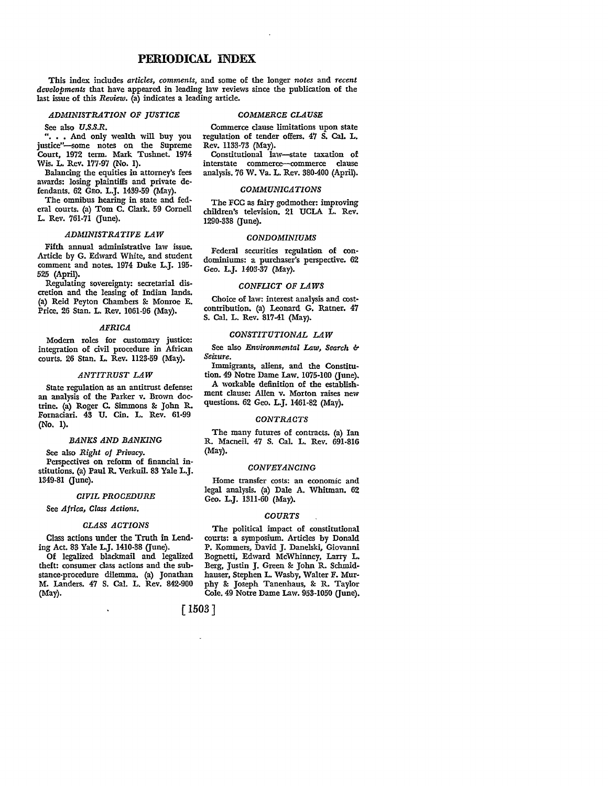# **PERIODICAL** INDEX

This index includes *articles, comments,* and some of the longer *notes* and *recent developments* that have appeared in leading law reviews since the publication of the last issue of this *Review.* (a) indicates a leading article.

# *ADMINISTRATION OF JUSTICE*

See also *U.S.S.R.* 

" ••• And only wealth will buy you justice"-some notes on the Supreme Court, 1972 term. Mark Tushnet. 1974 Wis. L. Rev. 177-97 (No. 1).

Balancing the equities in attorney's fees awards: losing plaintiffs and private defendants. 62 GEo. L.J. 1439.59 (May).

The omnibus hearing in state and federal courts. (a) Tom C. Clark. 59 Cornell L. Rev. 761-71 (June).

# *ADMINISTRATIVE LAW*

Fifth annual administrative law issue. Article by G. Edward White, and srudent comment and notes. 1974 Duke L.J. 195. 525 (April).

Regulating sovereignty: secretarial discretion and the leasing of Indian lands. (a) Reid Peyton Chambers &: Momoe E. Price. 26 Stan. L. Rev. 1061-96 (May).

# *AFRICA*

Modern roles for customary justice: integration of civil procedure in African courts. 26 Stan. L. Rev. 1123·59 (May).

# *ANTITRUST LAW*

State regulation as an antitrust defense: an analysis of the Parker v. Brown doc• trine. (a) Roger C. Simmons &: John R. Fornaciari. 43 U. Cin. L. Rev. 61-99 (No. 1).

# *BANKS AND BANKING*

See also *Right of Privacy.*  Perspectives on reform of financial institutions. (a) Paul R. Verkuil. 83 Yale L.J. 1349-81 (June).

# *CIVIL PROCEDURE*

See *Africa, Class Actions.* 

# *CLASS ACTIONS*

Class actions under the Truth in Lending Act. 83 Yale L.J. 1410-38 (June).

Of legalized blackmail and legalized theft: consumer class actions and the substance-procedure dilemma. (a) Jonathan M. Landers. 47 S. Cal. L. Rev. 842-900 (May).

# *COMMERCE CLAUSE*

Commerce clause limitations upon state regulation of tender offers. 47 S. Cal. L. Rev. 1133-73 (May).

Constitutional law-state taxation of interstate commerce--commerce clause analysis. 76 W. Va. L. Rev. 380-400 (April).

# *COMMUNICATIONS*

The FCC as fairy godmother: improving children's television. 21 UCLA L. Rev. 1290-338 (June).

#### *CONDOMINIUMS*

Federal securities regulation of condominiums: a purchaser's perspective. 62 Geo. L.J. 1403-37 (May).

# *CONFUCT OF LAWS*

Choice of law: interest analysis and costcontribution. (a) Leonard G. Ratner. 47 S. Cal. L. Rev. 817-41 (May).

# *CONSTITUTIONAL LAW*

See also *Environmental Law*, *Search* & *Seizure.* 

Immigrants, aliens, and the Constitution. 49 Notre Dame Law. 1075-100 (June).

A workable definition of the establishment clause: Allen v. Morton raises new questions. 62 Geo. L.J. 1461-82 (May).

# *CONTRACTS*

The many futures of contracts. (a) Ian R. Macneil. 47 S. Cal. L. Rev. 691-816 (May).

# *CONVEYANCING*

Home transfer costs: an economic and legal analysis. (a) Dale A. Whitman. 62 Geo. **L.J.** 1311-60 (May).

# *COURTS*

The political impact of constitutional courts: a symposium. Articles by Donald P. Kommers, David J. Danelski, Giovanni Bognetti, Edward McWhinney, Larry L. Berg, Justin J. Green &: John R. Schmidhauser, Stephen L. Wasby, Walter F. Murphy &: Joseph Tanenhaus, &: R. Taylor Cole. 49 Notre Dame Law. 953-1050 (June).

[ 1503]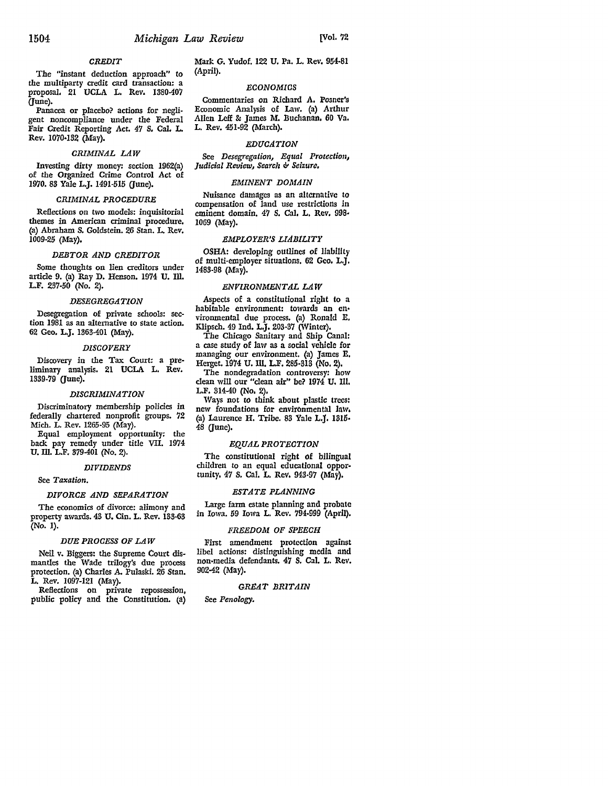# *CREDIT*

The "instant deduction approach" to the multiparty credit card transaction: a proposal, 21 UCLA L. Rev. 1380-407 (June).

Panacea or placebo? actions for negligent noncompliance under the Federal Fair Credit Reporting Act. 47 S, Cal, L Rev. 1070•132 (May).

# *CRIMINAL LAW*

Investing dirty money: section 1962(a) of the Organized Crime Control Act of 1970. 83 Yale L.J. 1491-515 (June).

# *CRIMINAL PROCEDURE*

Reflections on two models: inquisitorial themes in American criminal procedure, (a) Abraham S. Goldstein. 26 Stan. L. Rev. 1009-25 (May),

# *DEBTOR AND CREDITOR*

Some thoughts on lien creditors under article 9. {a) Ray D. Henson. 1974 U. Ill. L.F. 237-50 (No. 2).

# *DESEGREGATION*

Desegregation of private schools: section 1981 as an alternative to state action. 62 Geo. L.J. 1363-401 (May).

# *DISCOVERY*

Discovery in the Tax Court: a preliminary analysis, 21 UCLA L. Rev. 1339-79 (June).

# *DISCRIMINATION*

Discriminatory membership policies in federally chartered nonprofit groups. 72 Mich. L. Rev. 1265-95 (May).

Equal employment opportunity: the back pay remedy under title VII. 1974 U. Ill. L.F. 379-401 (No. 2).

# *DIVIDENDS*

See *Taxation.* 

#### *DIYORCE AND SEPARATION*

The economics of divorce: alimony and property awards. 43 U. Cin. L. Rev. 133-63 (No. 1).

# *DUE PROCESS OF LAW*

Neil v. Biggers: the Supreme Court dismantles the Wade trilogy's due process protection. (a) Charles A. Pulaski. 26 Stan. L. Rev. 1097-121 (May).

Reflections on private repossession, public policy and the Constitution. (a)

Mark G. Yudof. 122 U. Pa. L. Rev. 954-81 (April).

# *ECONOMICS*

Commentaries on Richard A. Posner's Economic Analysis of Law. (a) Arthur Allen Leff&: James M. Buchanan. 60 Va. L. Rev. 451-92 (March).

# *EDUCATION*

See *Desegregation, Equal Protection, Judicial Review, Search b Seizure,* 

# *EMINENT DOMAIN*

Nuisance damages as an alternative to compensation of land use restrictions in eminent domain. 47 S. Cal, L, Rev. 998• 1069 (May).

# *EMPLOYER'S LIABILITY*

OSHA: developing outlines of liability of multi-employer situations. 62 Geo. L.J. 1483-98 (May).

# *ENVIRONMENTAL LAW*

Aspects of a constitutional right to a habitable environment: towards an en• vironmental due process. (a) Ronald E, Klipsch. 49 Ind. L.J. 203-37 (Winter).

The Chicago Sanitary and Ship Canal: a case study of law as a social vehicle for managing our environment. (a) James E, Herget. 1974 U. Ill. L.F. 285-318 (No. 2).

The nondegradation controversy: how clean will our "clean air" be? 1974 U. Ill. L.F. 814-40 (No, 2),

Ways not to think about plastic trees:<br>new foundations for environmental law. (a) Laurence H. Tribe. 83 Yale L,J. 1810• 48 (June).

# *EQUAL PROTECTION*

The constitutional right of bilingual children to an equal educational opportunity. 47 S. Cat. L. *Rev.* 948•97 (May),

# *ESTATE PLANNING*

Large farm estate planning and probate in Iowa. 59 Iowa L. Rev. 794-999 (Aprll).

# *FREEDOM OF SPEECH*

First amendment protection against libel actions: distinguishing media and non•media defendants. 47 S. Cal. L. Rev. 90242 (May).

# *GREAT BRITAIN*

See *Penology.*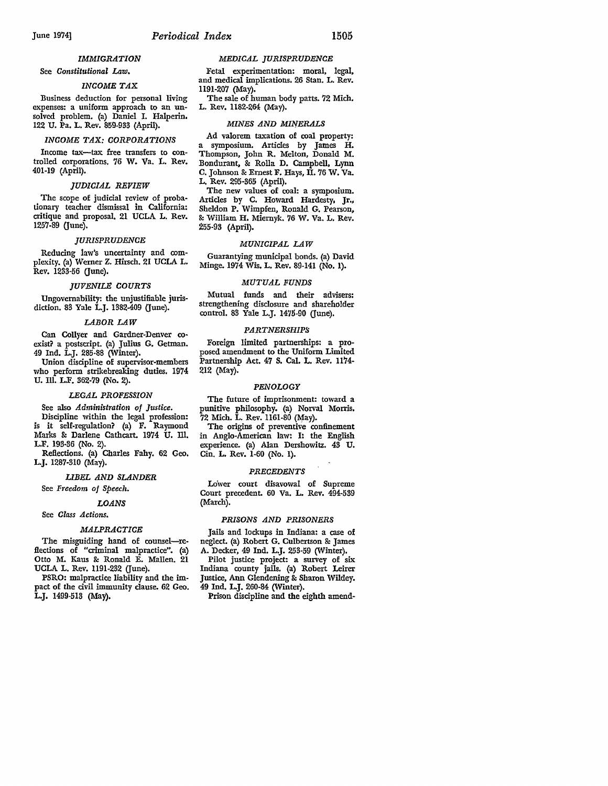# *IMMIGRATION*

# See *Constitutional* Law.

# *INCOME TAX*

Business deduction for personal living expenses: a uniform approach to an unsolved problem. (a) Daniel I. Halperin, 122 U. Pa. L. Rev. 859-933 (April).

# *INCOME TAX: CORPORATIONS*

Income tax--tax free transfers to controlled corporations. 76 W. Va. **L.** Rev. 401-19 (April).

# *JUDICIAL REVIEW*

The scope of judicial review of probationary teacher dismissal in California: critique and proposal, 21 UCLA L. Rev. 1257-89 (June).

# *JURISPRUDENCE*

Reducing law's uncertainty and complexity. (a) Werner Z. Hirsch. 21 UCLA L. Rev. 1233-56 Gune).

# *JUVENILE COURTS*

Ungovernability: the unjustifiable jurisdiction. 83 Yale L.J. 1382-409 (June).

# *LABOR LAW*

Can Collyer and Gardner-Denver co• exist? a postscript. (a) Julius G. Getman. 49 Ind. LJ. 285-88 (Winter).

Union discipline of supervisor-members who perform strikebreaking duties, 1974 U. Ill. L.F. 362-79 (No. 2).

# *LEGAL PROFESSION*

See also *Administration of Justice.*  Discipline within the legal profession: is it self-regulation? (a) F. Raymond Marks &: Darlene Cathcart. 1974 U. Ill. L.F. 193-36 (No. 2).

Reflections. (a) Charles Fahy. 62 Geo. L.J. 1287-310 (May).

# *LIBEL AND SLANDER*

See *Freedom of Speech.* 

# *LOANS*

# See *Class Actions.*

# *MALPRACTICE*

The misguiding hand of counsel-reflections of "criminal malpractice". (a) Otto M. Kaus & Ronald E. Mallen. 21 UCLA L. Rev. 1191-232 (June).

PSRO: malpractice liability and the impact of the civil immunity clause. 62 Geo. L.J. 1499-513 (May).

# *MEDICAL JURISPRUDENCE*

Fetal experimentation: moral, legal, and medical implications, 26 Stan. L. Rev. 1191-207 (May).

The sale of human body parts. 72 Mich. L. Rev. 1182-264 (May).

# *MINES AND Mil'{ERALS*

Ad valorem taxation of coal property: a symposium. Articles by James H. Thompson, John R. Melton, Donald M. Bondurant, &: Rolla D. Campbell, Lynn C, Johnson & Ernest F. Hays, II. 76 W. Va. L, Rev. 295-365 (April).

The new values of coal: a symposium. Articles by C. Howard Hardesty, Jr., Sheldon P. Wimpfen, Ronald G. Pearson, & William H. Miernyk. 76 W. Va. L. Rev. 255-93 (April).

# *MUNICIPAL LAW*

Guarantying municipal bonds. (a) David Minge. 1974 Wis. L. Rev. 89-141 (No. I).

# *MUTUAL FUNDS*

Mutual funds and their advisers: strengthening disclosure and shareholder control. 83 Yale L.J. 1475-90 (June).

# *PARTNERSHIPS*

Foreign limited partnerships: a proposed amendment to the Uniform Limited Partnership Act. 47 S. Cal. L. Rev. 1174- 212 (May).

# *PENOLOGY*

The future of imprisonment: toward a punitive philosophy. (a) Norval Morris. 72 Mich. L. Rev. 1161-80 (May).

The origins of preventive confinement in Anglo-American law: I: the English experience. (a) Alan Dershowitz. 43 U. Cin. L. Rev. 1-60 (No. I).

# *PRECEDENTS*

Lo'wer court disavowal of Supreme Court precedent. 60 Va. L. Rev. 494-539 (March).

# *PRISONS AND PRISONERS*

Jails and lockups in Indiana: a case of neglect. (a) Robert G. Culbertson &: James A. Decker, 49 Ind. L.J. 253-59 (Winter). Pilot justice project: a survey of six Indiana county jails. (a) Robert Leirer Justice, Ann Glendening &: Sharon Wildey. 49 Ind. L.J. 260-84 (Winter).

Prison discipline and the eighth amend-